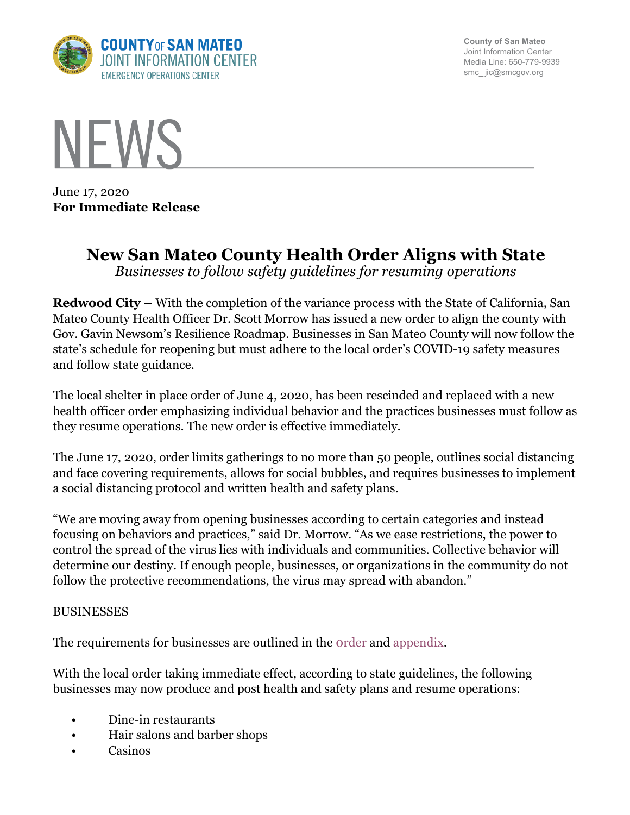

**County of San Mateo** Joint Information Center Media Line: 650-779-9939 smc\_ jic@smcgov.org



June 17, 2020 **For Immediate Release**

# **New San Mateo County Health Order Aligns with State** *Businesses to follow safety guidelines for resuming operations*

**Redwood City –** With the completion of the variance process with the State of California, San Mateo County Health Officer Dr. Scott Morrow has issued a new order to align the county with Gov. Gavin Newsom's Resilience Roadmap. Businesses in San Mateo County will now follow the state's schedule for reopening but must adhere to the local order's COVID-19 safety measures and follow state guidance.

The local shelter in place order of June 4, 2020, has been rescinded and replaced with a new health officer order emphasizing individual behavior and the practices businesses must follow as they resume operations. The new order is effective immediately.

The June 17, 2020, order limits gatherings to no more than 50 people, outlines social distancing and face covering requirements, allows for social bubbles, and requires businesses to implement a social distancing protocol and written health and safety plans.

"We are moving away from opening businesses according to certain categories and instead focusing on behaviors and practices," said Dr. Morrow. "As we ease restrictions, the power to control the spread of the virus lies with individuals and communities. Collective behavior will determine our destiny. If enough people, businesses, or organizations in the community do not follow the protective recommendations, the virus may spread with abandon."

#### BUSINESSES

The requirements for businesses are outlined in the <u>order</u> and appendix.

With the local order taking immediate effect, according to state guidelines, the following businesses may now produce and post health and safety plans and resume operations:

- Dine-in restaurants
- Hair salons and barber shops
- Casinos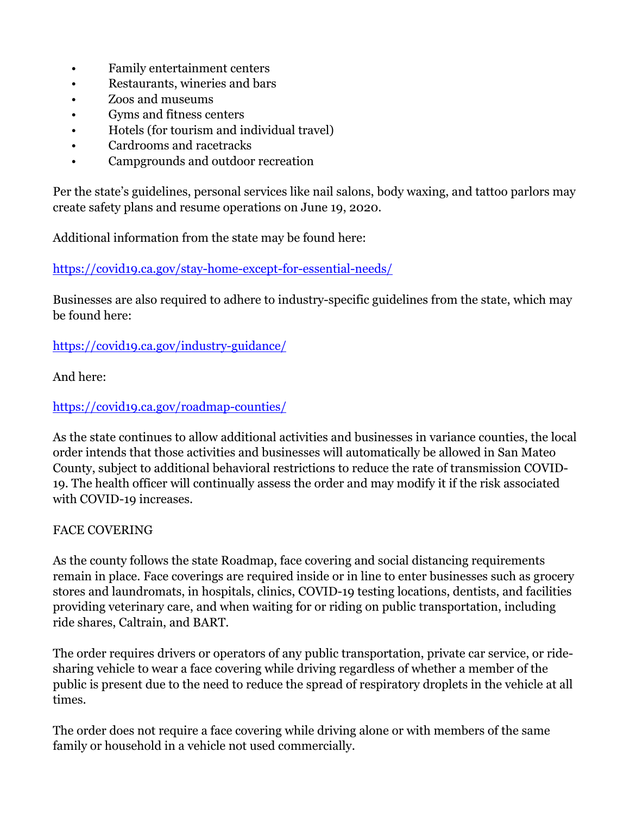- Family entertainment centers
- Restaurants, wineries and bars
- Zoos and museums
- Gyms and fitness centers
- Hotels (for tourism and individual travel)
- Cardrooms and racetracks
- Campgrounds and outdoor recreation

Per the state's guidelines, personal services like nail salons, body waxing, and tattoo parlors may create safety plans and resume operations on June 19, 2020.

Additional information from the state may be found here:

https://covid19.ca.gov/stay-home-except-for-essential-needs/

Businesses are also required to adhere to industry-specific guidelines from the state, which may be found here:

https://covid19.ca.gov/industry-guidance/

And here:

https://covid19.ca.gov/roadmap-counties/

As the state continues to allow additional activities and businesses in variance counties, the local order intends that those activities and businesses will automatically be allowed in San Mateo County, subject to additional behavioral restrictions to reduce the rate of transmission COVID-19. The health officer will continually assess the order and may modify it if the risk associated with COVID-19 increases.

## FACE COVERING

As the county follows the state Roadmap, face covering and social distancing requirements remain in place. Face coverings are required inside or in line to enter businesses such as grocery stores and laundromats, in hospitals, clinics, COVID-19 testing locations, dentists, and facilities providing veterinary care, and when waiting for or riding on public transportation, including ride shares, Caltrain, and BART.

The order requires drivers or operators of any public transportation, private car service, or ridesharing vehicle to wear a face covering while driving regardless of whether a member of the public is present due to the need to reduce the spread of respiratory droplets in the vehicle at all times.

The order does not require a face covering while driving alone or with members of the same family or household in a vehicle not used commercially.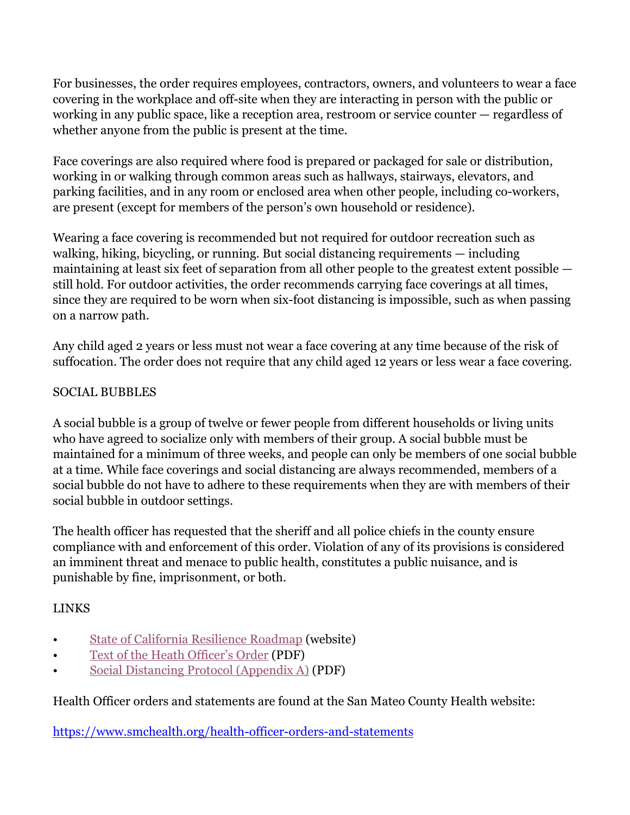For businesses, the order requires employees, contractors, owners, and volunteers to wear a face covering in the workplace and off-site when they are interacting in person with the public or working in any public space, like a reception area, restroom or service counter — regardless of whether anyone from the public is present at the time.

Face coverings are also required where food is prepared or packaged for sale or distribution, working in or walking through common areas such as hallways, stairways, elevators, and parking facilities, and in any room or enclosed area when other people, including co-workers, are present (except for members of the person's own household or residence).

Wearing a face covering is recommended but not required for outdoor recreation such as walking, hiking, bicycling, or running. But social distancing requirements — including maintaining at least six feet of separation from all other people to the greatest extent possible still hold. For outdoor activities, the order recommends carrying face coverings at all times, since they are required to be worn when six-foot distancing is impossible, such as when passing on a narrow path.

Any child aged 2 years or less must not wear a face covering at any time because of the risk of suffocation. The order does not require that any child aged 12 years or less wear a face covering.

#### SOCIAL BUBBLES

A social bubble is a group of twelve or fewer people from different households or living units who have agreed to socialize only with members of their group. A social bubble must be maintained for a minimum of three weeks, and people can only be members of one social bubble at a time. While face coverings and social distancing are always recommended, members of a social bubble do not have to adhere to these requirements when they are with members of their social bubble in outdoor settings.

The health officer has requested that the sheriff and all police chiefs in the county ensure compliance with and enforcement of this order. Violation of any of its provisions is considered an imminent threat and menace to public health, constitutes a public nuisance, and is punishable by fine, imprisonment, or both.

## LINKS

- State of California Resilience Roadmap (website)
- Text of the Heath Officer's Order (PDF)
- Social Distancing Protocol (Appendix A) (PDF)

Health Officer orders and statements are found at the San Mateo County Health website:

https://www.smchealth.org/health-officer-orders-and-statements